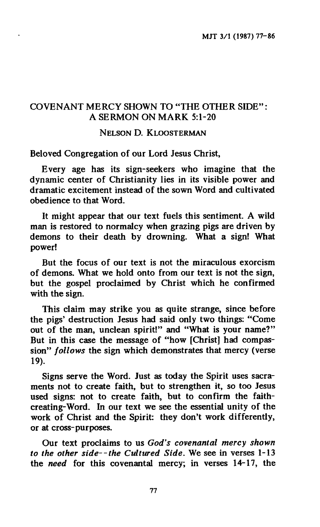# **COVENANT MERCY SHOWN TO "THE OTHER SIDE" : A SERMON ON MARK 5:1-20**

## **NELSON D. KLOOSTERMAN**

**Beloved Congregation of our Lord Jesus Christ,** 

**Every age has its sign-seekers who imagine that the dynamic center of Christianity lies in its visible power and dramatic excitement instead of the sown Word and cultivated obedience to that Word.** 

**It might appear that our text fuels this sentiment. A wild man is restored to normalcy when grazing pigs are driven by demons to their death by drowning. What a sign! What power!** 

**But the focus of our text is not the miraculous exorcism of demons. What we hold onto from our text is not the sign, but the gospel proclaimed by Christ which he confirmed with the sign.** 

**This claim may strike you as quite strange, since before the pigs' destruction Jesus had said only two things: "Come out of the man, unclean spirit!" and "What is your name?" But in this case the message of "how [Christ] had compassion"** *follows* **the sign which demonstrates that mercy (verse 19).** 

**Signs serve the Word. Just as today the Spirit uses sacraments not to create faith, but to strengthen it, so too Jesus used signs: not to create faith, but to confirm the faithcreating-Word. In our text we see the essential unity of the work of Christ and the Spirit: they don't work differently, or at cross-purposes.** 

Our text proclaims to us God's covenantal mercy shown *to the other side--the Cultured Side.* **We see in verses 1-13 the** *need* **for this covenantal mercy; in verses 14-17, the**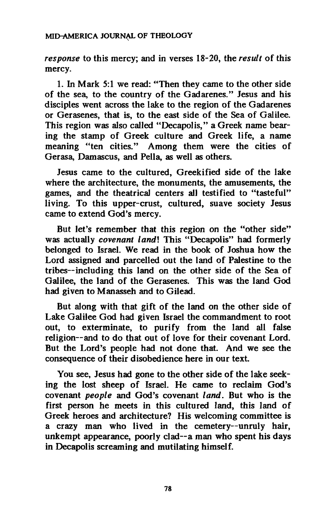*response* **to this mercy; and in verses 18-20, the** *result* **of this mercy.** 

**1. In Mark 5:1 we read: "Then they came to the other side of the sea, to the country of the Gadarenes." Jesus and his disciples went across the lake to the region of the Gadarenes or Gerasenes, that is, to the east side of the Sea of Galilee. This region was also called "Decapolis," a Greek name bearing the stamp of Greek culture and Greek life, a name meaning "ten cities." Among them were the cities of Gerasa, Damascus, and Pella, as well as others.** 

**Jesus came to the cultured, Greekified side of the lake where the architecture, the monuments, the amusements, the games, and the theatrical centers all testified to "tasteful" living. To this upper-crust, cultured, suave society Jesus came to extend God's mercy.** 

**But let's remember that this region** *on* **the "other side" was actually** *covenant landl* **This "Decapolis" had formerly belonged to Israel. We read in the book of Joshua how the Lord assigned and parcelled out the land of Palestine to the tribes—including this land on the other side of the Sea of Galilee, the land of the Gerasenes. This was the land God had given to Manasseh and to Gilead.** 

**But along with that gift of the land on the other side of Lake Galilee God had given Israel the commandment to root out, to exterminate, to purify from the land all false religion—and to do that out of love for their covenant Lord. But the Lord's people had not done that. And we see the consequence of their disobedience here in our text.** 

**You see, Jesus had gone to the other side of the lake seeking the lost sheep of Israel. He came to reclaim God's covenant** *people* **and God's covenant** *land.* **But who is the first person he meets in this cultured land, this land of Greek heroes and architecture? His welcoming committee is a crazy man who lived in the cemetery—unruly hair, unkempt appearance, poorly clad—a man who spent his days in Decapolis screaming and mutilating himself.**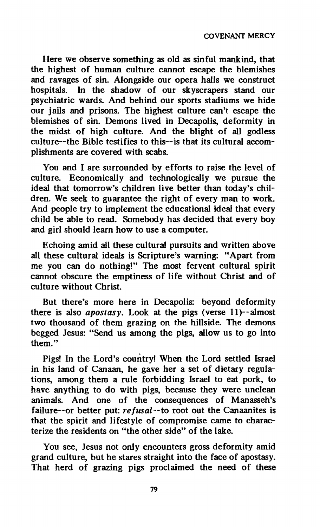**Here we observe something as old as sinful mankind, that the highest of human culture cannot escape the blemishes and ravages of sin. Alongside our opera halls we construct hospitals. In the shadow of our skyscrapers stand our psychiatric wards. And behind our sports stadiums we hide our jails and prisons. The highest culture can't escape the blemishes of sin. Demons lived in Decapolis, deformity in the midst of high culture. And the blight of all godless culture—the Bible testifies to this—is that its cultural accomplishments are covered with scabs.** 

**You and I are surrounded by efforts to raise the level of culture. Economically and technologically we pursue the ideal that tomorrow's children live better than today's children. We seek to guarantee the right of every man to work. And people try to implement the educational ideal that every child be able to read. Somebody has decided that every boy and girl should learn how to use a computer.** 

**Echoing amid all these cultural pursuits and written above all these cultural ideals is Scripture's warning: "Apart from me you can do nothing!" The most fervent cultural spirit cannot obscure the emptiness of life without Christ and of culture without Christ.** 

**But there's more here in Decapolis: beyond deformity there is also** *apostasy.* **Look at the pigs (verse 11)—almost two thousand of them grazing on the hillside. The demons begged Jesus: "Send us among the pigs, allow us to go into them."** 

**Pigs! In the Lord's country! When the Lord settled Israel in his land of Canaan, he gave her a set of dietary regulations, among them a rule forbidding Israel to eat pork, to have anything to do with pigs, because they were unclean animals. And one of the consequences of Manasseh's failure—or better put:** *refusal—to* **root out the Canaanites is that the spirit and lifestyle of compromise came to characterize the residents on "the other side" of the lake.** 

**You see, Jesus not only encounters gross deformity amid grand culture, but he stares straight into the face of apostasy. That herd of grazing pigs proclaimed the need of these**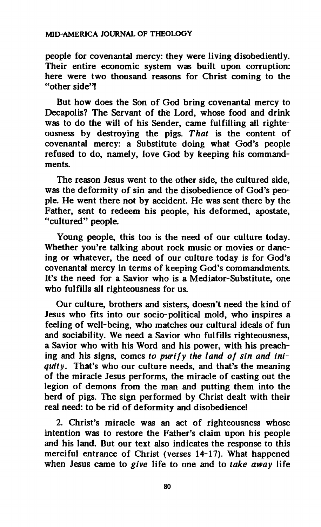#### **MID-AMERICA JOURNAL OF THEOLOGY**

**people for covenantal mercy: they were living disobediently. Their entire economic system was built upon corruption: here were two thousand reasons for Christ coming to the "other side"!** 

**But how does the Son of God bring covenantal mercy to Decapolis? The Servant of the Lord, whose food and drink was to do the will of his Sender, came fulfilling all righteousness by destroying the pigs.** *That* **is the content of covenantal mercy: a Substitute doing what God's people refused to do, namely, love God by keeping his commandments.** 

**The reason Jesus went to the other side, the cultured side, was the deformity of sin and the disobedience of God's people. He went there not by accident. He was sent there by the Father, sent to redeem his people, his deformed, apostate, "cultured" people.** 

**Young people, this too is the need of our culture today. Whether you're talking about rock music or movies or dancing or whatever, the need of our culture today is for God's covenantal mercy in terms of keeping God's commandments. It's the need for a Savior who is a Mediator-Substitute, one who fulfills all righteousness for us.** 

**Our culture, brothers and sisters, doesn't need the kind of Jesus who fits into our socio-political mold, who inspires a feeling of well-being, who matches our cultural ideals of fun and sociability. We need a Savior who fulfills righteousness, a Savior who with his Word and his power, with his preaching and his signs, comes** *to purify the land of sin and iniquity.* **That's who our culture needs, and that's the meaning of the miracle Jesus performs, the miracle of casting out the legion of demons from the man and putting them into the herd of pigs. The sign performed by Christ dealt with their real need: to be rid of deformity and disobedience!** 

**2. Christ's miracle was an act of righteousness whose intention was to restore the Father's claim upon his people and his land. But our text also indicates the response to this merciful entrance of Christ (verses 14-17). What happened when Jesus came to** *give* **life to one and to** *take away* **life**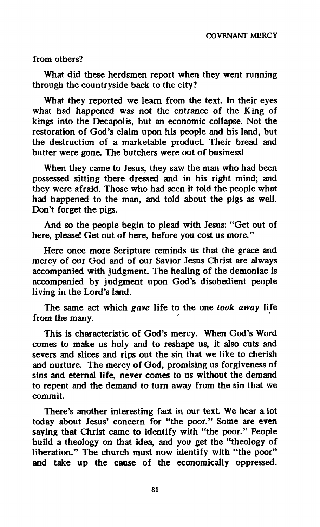**from others?** 

**What did these herdsmen report when they went running through the countryside back to the city?** 

**What they reported we learn from the text. In their eyes what had happened was not the entrance of the King of kings into the Decapolis, but an economic collapse. Not the restoration of God's claim upon his people and his land, but the destruction of a marketable product. Their bread and butter were gone. The butchers were out of business!** 

**When they came to Jesus, they saw the man who had been possessed sitting there dressed and in his right mind; and they were afraid. Those who had seen it told the people what had happened to the man, and told about the pigs as well. Don't forget the pigs.** 

**And so the people begin to plead with Jesus: "Get out of here, please! Get out of here, before you cost us more."** 

**Here once more Scripture reminds us that the grace and mercy of our God and of our Savior Jesus Christ are always accompanied with judgment. The healing of the demoniac is accompanied by judgment upon God's disobedient people living in the Lord's land.** 

**The same act which** *gave* **life to the one** *took away* **life from the many.** 

**This is characteristic of God's mercy. When God's Word comes to make us holy and to reshape us, it also cuts and severs and slices and rips out the sin that we like to cherish and nurture. The mercy of God, promising us forgiveness of sins and eternal life, never comes to us without the demand to repent and the demand to turn away from the sin that we commit.** 

**There's another interesting fact in our text. We hear a lot today about Jesus' concern for "the poor." Some are even saying that Christ came to identify with "the poor." People build a theology on that idea, and you get the "theology of liberation." The church must now identify with "the poor" and take up the cause of the economically oppressed.**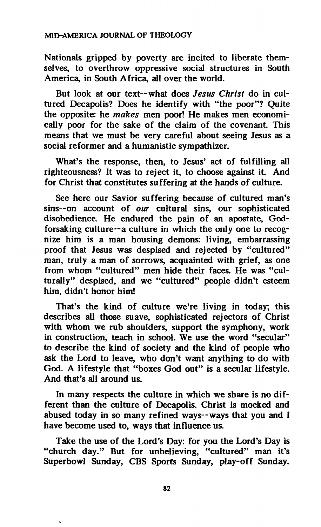**Nationals gripped by poverty are incited to liberate themselves, to overthrow oppressive social structures in South America, in South Africa, all over the world.** 

**But look at our text—what does** *Jesus Christ* **do in cultured Decapolis? Does he identify with "the poor"? Quite the opposite: he** *makes* **men poor! He makes men economically poor for the sake of the claim of the covenant. This means that we must be very careful about seeing Jesus as a social reformer and a humanistic sympathizer.** 

**What's the response, then, to Jesus' act of fulfilling all righteousness? It was to reject it, to choose against it. And for Christ that constitutes suffering at the hands of culture.** 

**See here our Savior suffering because of cultured man's sins—on account of** *our* **cultural sins, our sophisticated disobedience. He endured the pain of an apostate, Godforsaking culture—a culture in which the only one to recognize him is a man housing demons: living, embarrassing proof that Jesus was despised and rejected by "cultured" man, truly a man of sorrows, acquainted with grief, as one from whom "cultured" men hide their faces. He was "culturally" despised, and we "cultured" people didn't esteem him, didn't honor him!** 

**That's the kind of culture we're living in today; this describes all those suave, sophisticated rejectors of Christ with whom we rub shoulders, support the symphony, work in construction, teach in school. We use the word "secular" to describe the kind of society and the kind of people who ask the Lord to leave, who don't want anything to do with God. A lifestyle that "boxes God out" is a secular lifestyle. And that's all around us.** 

**In many respects the culture in which we share is no different than the culture of Decapolis. Christ is mocked and abused today in so many refined ways—ways that you and I have become used to, ways that influence us.** 

**Take the use of the Lord's Day: for you the Lord's Day is "church day." But for unbelieving, "cultured" man it's Superbowl Sunday, CBS Sports Sunday, play-off Sunday.**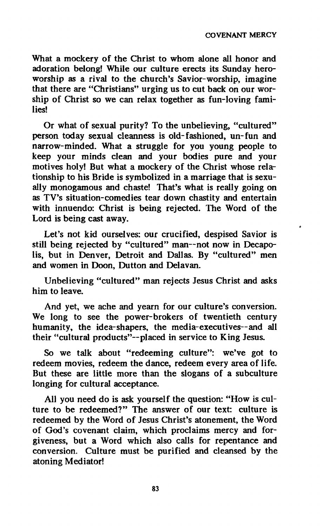**What a mockery of the Christ to whom alone all honor and adoration belong! While our culture erects its Sunday heroworship as a rival to the church's Savior-worship, imagine that there are "Christians" urging us to cut back on our worship of Christ so we can relax together as fun-loving families!** 

**Or what of sexual purity? To the unbelieving, "cultured" person today sexual cleanness is old-fashioned, un-fun and narrow-minded. What a struggle for you young people to keep your minds clean and your bodies pure and your motives holy! But what a mockery of the Christ whose relationship to his Bride is symbolized in a marriage that is sexually monogamous and chaste! That's what is really going on as TV's situation-comedies tear down chastity and entertain with innuendo: Christ is being rejected. The Word of the Lord is being cast away.** 

**Let's not kid ourselves: our crucified, despised Savior is**  still being rejected by "cultured" man--not now in Decapo**lis, but in Denver, Detroit and Dallas. By "cultured" men and women in Doon, Dutton and Delavan.** 

**Unbelieving "cultured" man rejects Jesus Christ and asks him to leave.** 

**And yet, we ache and yearn for our culture's conversion. We long to see the power-brokers of twentieth century humanity, the idea-shapers, the media-executives—and all their "cultural products"—placed in service to King Jesus.** 

**So we talk about "redeeming culture": we've got to redeem movies, redeem the dance, redeem every area of life. But these are little more than the slogans of a subculture longing for cultural acceptance.** 

**All you need do is ask yourself the question: "How is culture to be redeemed?" The answer of our text: culture is redeemed by the Word of Jesus Christ's atonement, the Word of God's covenant claim, which proclaims mercy and forgiveness, but a Word which also calls for repentance and conversion. Culture must be purified and cleansed by the atoning Mediator!**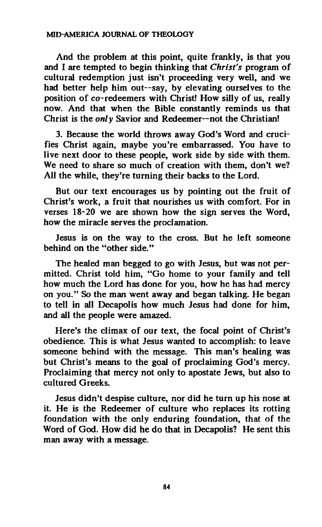### **MID-AMERICA JOURNAL OF THEOLOGY**

**And the problem at this point, quite frankly, is that you and I are tempted to begin thinking that** *Christ's* **program of cultural redemption just isn't proceeding very well, and we had better help him out—say, by elevating ourselves to the position of co-redeemers with Christ! How silly of us, really now. And that when the Bible constantly reminds us that Christ is the** *only* **Savior and Redeemer—not the Christian!** 

**3. Because the world throws away God's Word and crucifies Christ again, maybe you're embarrassed. You have to live next door to these people, work side by side with them. We need to share so much of creation with them, don't we? All the while, they're turning their backs to the Lord.** 

**But our text encourages us by pointing out the fruit of Christ's work, a fruit that nourishes us with comfort. For in verses 18-20 we are shown how the sign serves the Word, how the miracle serves the proclamation.** 

**Jesus is on the way to the cross. But he left someone behind on the "other side."** 

**The healed man begged to go with Jesus, but was not permitted. Christ told him, "Go home to your family and tell how much the Lord has done for you, how he has had mercy on you." So the man went away and began talking. He began to tell in all Decapolis how much Jesus had done for him, and all the people were amazed.** 

**Here's the climax of our text, the focal point of Christ's obedience. This is what Jesus wanted to accomplish: to leave someone behind with the message. This man's healing was but Christ's means to the goal of proclaiming God's mercy. Proclaiming that mercy not only to apostate Jews, but also to cultured Greeks.** 

**Jesus didn't despise culture, nor did he turn up his nose at it. He is the Redeemer of culture who replaces its rotting foundation with the only enduring foundation, that of the Word of God. How did he do that in Decapolis? He sent this man away with a message.**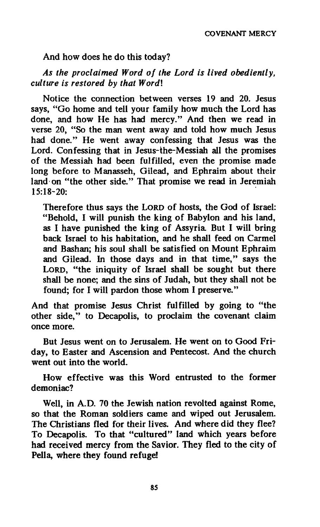### **And how does he do this today?**

# *As the proclaimed Word of the Lord is lived obediently, culture is restored by that Wordl*

**Notice the connection between verses 19 and 20. Jesus says, "Go home and tell your family how much the Lord has done, and how He has had mercy." And then we read in verse 20, "So the man went away and told how much Jesus had done." He went away confessing that Jesus was the Lord. Confessing that in Jesus-the-Messiah all the promises of the Messiah had been fulfilled, even the promise made long before to Manasseh, Gilead, and Ephraim about their land on "the other side." That promise we read in Jeremiah 15:18-20:** 

**Therefore thus says the LORD of hosts, the God of Israel: "Behold, I will punish the king of Babylon and his land, as I have punished the king of Assyria But I will bring back Israel to his habitation, and he shall feed on Carmel and Bashan; his soul shall be satisfied on Mount Ephraim and Gilead. In those days and in that time," says the LORD, "the iniquity of Israel shall be sought but there shall be none; and the sins of Judah, but they shall not be found; for I will pardon those whom I preserve."** 

**And that promise Jesus Christ fulfilled by going to "the other side," to Decapolis, to proclaim the covenant claim once more.** 

**But Jesus went on to Jerusalem. He went on to Good Friday, to Easter and Ascension and Pentecost. And the church went out into the world.** 

**How effective was this Word entrusted to the former demoniac?** 

**Well, in A.D. 70 the Jewish nation revolted against Rome, so that the Roman soldiers came and wiped out Jerusalem. The Christians fled for their lives. And where did they flee? To Decapolis. To that "cultured" land which years before had received mercy from the Savior. They fled to the city of Pella, where they found refuge!**